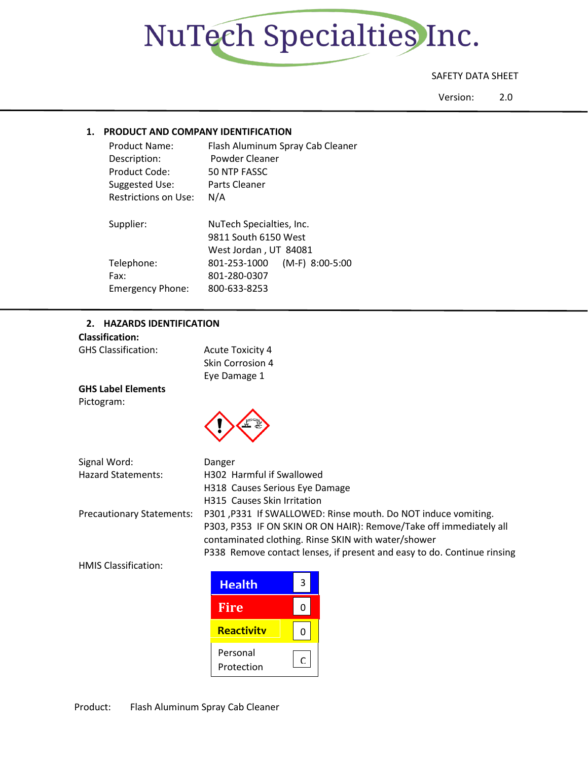

# SAFETY DATA SHEET

Version: 2.0

## **1. PRODUCT AND COMPANY IDENTIFICATION**

| Product Name:<br>Description:<br>Product Code:<br>Suggested Use:<br>Restrictions on Use: | Flash Aluminum Spray Cab Cleaner<br>Powder Cleaner<br>50 NTP FASSC<br>Parts Cleaner<br>N/A |
|------------------------------------------------------------------------------------------|--------------------------------------------------------------------------------------------|
| Supplier:                                                                                | NuTech Specialties, Inc.<br>9811 South 6150 West<br>West Jordan, UT 84081                  |
| Telephone:<br>Fax:<br><b>Emergency Phone:</b>                                            | $(M-F)$ 8:00-5:00<br>801-253-1000<br>801-280-0307<br>800-633-8253                          |

### **2. HAZARDS IDENTIFICATION**

| <b>Classification:</b>           |                                                                         |
|----------------------------------|-------------------------------------------------------------------------|
| <b>GHS Classification:</b>       | <b>Acute Toxicity 4</b>                                                 |
|                                  | Skin Corrosion 4                                                        |
|                                  | Eye Damage 1                                                            |
| <b>GHS Label Elements</b>        |                                                                         |
| Pictogram:                       |                                                                         |
|                                  |                                                                         |
|                                  |                                                                         |
|                                  |                                                                         |
| Signal Word:                     | Danger                                                                  |
| <b>Hazard Statements:</b>        | H302 Harmful if Swallowed                                               |
|                                  | H318 Causes Serious Eye Damage                                          |
|                                  | H315 Causes Skin Irritation                                             |
| <b>Precautionary Statements:</b> | P301, P331 If SWALLOWED: Rinse mouth. Do NOT induce vomiting.           |
|                                  | P303, P353 IF ON SKIN OR ON HAIR): Remove/Take off immediately all      |
|                                  | contaminated clothing. Rinse SKIN with water/shower                     |
|                                  | P338 Remove contact lenses, if present and easy to do. Continue rinsing |
| <b>HMIS Classification:</b>      |                                                                         |

| <b>Health</b>          | 3 |
|------------------------|---|
| <b>Fire</b>            | Ω |
| <b>Reactivity</b>      | O |
| Personal<br>Protection | r |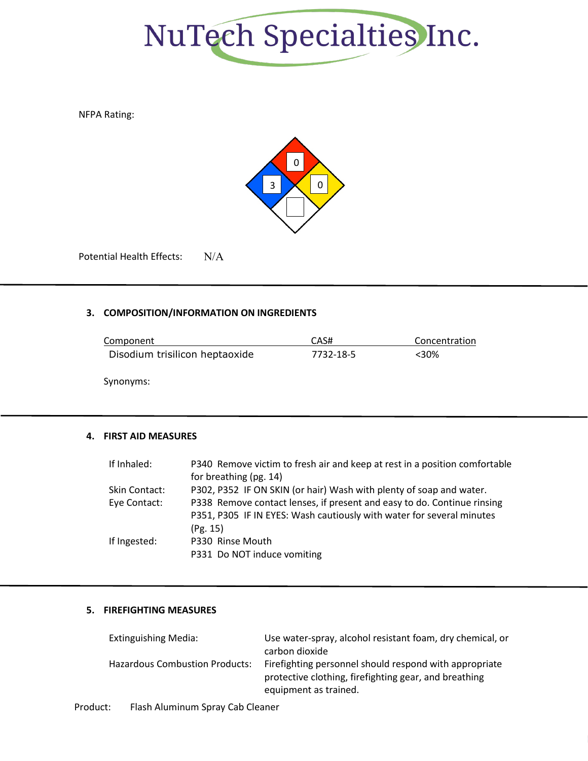

NFPA Rating:



Potential Health Effects: N/A

# **3. COMPOSITION/INFORMATION ON INGREDIENTS**

| Component                      | CAS#      | Concentration |
|--------------------------------|-----------|---------------|
| Disodium trisilicon heptaoxide | 7732-18-5 | <30%          |

Synonyms:

## **4. FIRST AID MEASURES**

| If Inhaled:          | P340 Remove victim to fresh air and keep at rest in a position comfortable |
|----------------------|----------------------------------------------------------------------------|
|                      | for breathing (pg. 14)                                                     |
| <b>Skin Contact:</b> | P302, P352 IF ON SKIN (or hair) Wash with plenty of soap and water.        |
| Eye Contact:         | P338 Remove contact lenses, if present and easy to do. Continue rinsing    |
|                      | P351, P305 IF IN EYES: Wash cautiously with water for several minutes      |
|                      | (Pg. 15)                                                                   |
| If Ingested:         | P330 Rinse Mouth                                                           |
|                      | P331 Do NOT induce vomiting                                                |

## **5. FIREFIGHTING MEASURES**

| <b>Extinguishing Media:</b>           | Use water-spray, alcohol resistant foam, dry chemical, or                                                                                |
|---------------------------------------|------------------------------------------------------------------------------------------------------------------------------------------|
|                                       | carbon dioxide                                                                                                                           |
| <b>Hazardous Combustion Products:</b> | Firefighting personnel should respond with appropriate<br>protective clothing, firefighting gear, and breathing<br>equipment as trained. |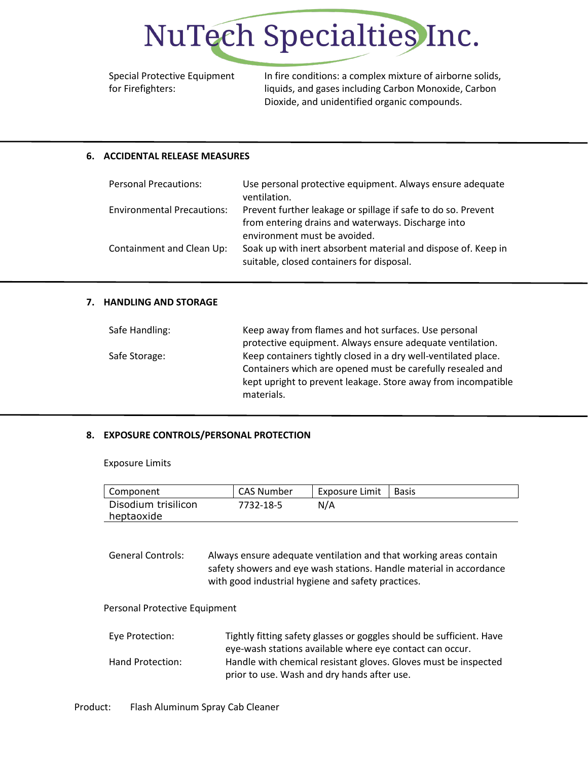

Special Protective Equipment for Firefighters:

In fire conditions: a complex mixture of airborne solids, liquids, and gases including Carbon Monoxide, Carbon Dioxide, and unidentified organic compounds.

## **6. ACCIDENTAL RELEASE MEASURES**

| <b>Personal Precautions:</b>      | Use personal protective equipment. Always ensure adequate<br>ventilation.                                           |
|-----------------------------------|---------------------------------------------------------------------------------------------------------------------|
| <b>Environmental Precautions:</b> | Prevent further leakage or spillage if safe to do so. Prevent<br>from entering drains and waterways. Discharge into |
|                                   | environment must be avoided.                                                                                        |
| Containment and Clean Up:         | Soak up with inert absorbent material and dispose of. Keep in<br>suitable, closed containers for disposal.          |

#### **7. HANDLING AND STORAGE**

| Safe Handling: | Keep away from flames and hot surfaces. Use personal           |  |
|----------------|----------------------------------------------------------------|--|
|                | protective equipment. Always ensure adequate ventilation.      |  |
| Safe Storage:  | Keep containers tightly closed in a dry well-ventilated place. |  |
|                | Containers which are opened must be carefully resealed and     |  |
|                | kept upright to prevent leakage. Store away from incompatible  |  |
|                | materials.                                                     |  |

#### **8. EXPOSURE CONTROLS/PERSONAL PROTECTION**

Exposure Limits

| Component           | CAS Number | Exposure Limit | Basis |
|---------------------|------------|----------------|-------|
| Disodium trisilicon | 7732-18-5  | N/A            |       |
| heptaoxide          |            |                |       |

General Controls: Always ensure adequate ventilation and that working areas contain safety showers and eye wash stations. Handle material in accordance with good industrial hygiene and safety practices.

Personal Protective Equipment

| Eye Protection:  | Tightly fitting safety glasses or goggles should be sufficient. Have |
|------------------|----------------------------------------------------------------------|
|                  | eye-wash stations available where eye contact can occur.             |
| Hand Protection: | Handle with chemical resistant gloves. Gloves must be inspected      |
|                  | prior to use. Wash and dry hands after use.                          |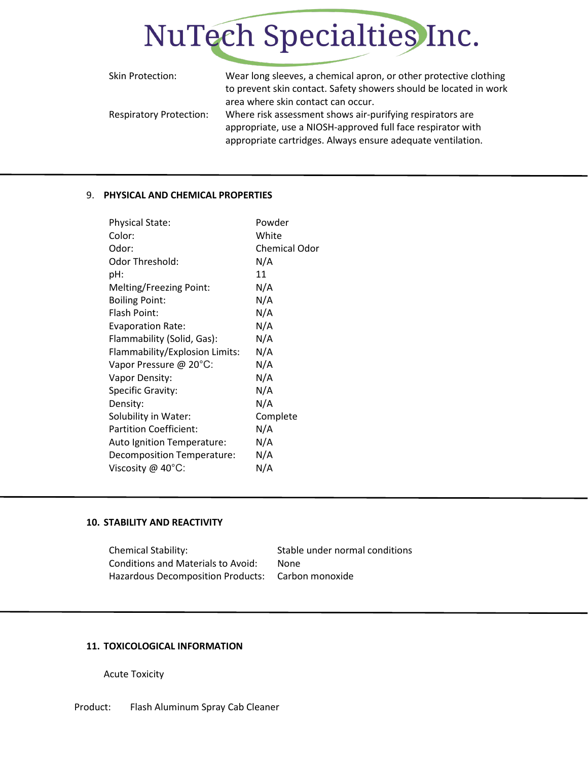

| Skin Protection:               | Wear long sleeves, a chemical apron, or other protective clothing<br>to prevent skin contact. Safety showers should be located in work |
|--------------------------------|----------------------------------------------------------------------------------------------------------------------------------------|
|                                | area where skin contact can occur.                                                                                                     |
| <b>Respiratory Protection:</b> | Where risk assessment shows air-purifying respirators are                                                                              |
|                                | appropriate, use a NIOSH-approved full face respirator with                                                                            |
|                                | appropriate cartridges. Always ensure adequate ventilation.                                                                            |

#### 9. **PHYSICAL AND CHEMICAL PROPERTIES**

| <b>Physical State:</b>         | Powder               |
|--------------------------------|----------------------|
| Color:                         | White                |
| Odor:                          | <b>Chemical Odor</b> |
| Odor Threshold:                | N/A                  |
| pH:                            | 11                   |
| Melting/Freezing Point:        | N/A                  |
| <b>Boiling Point:</b>          | N/A                  |
| Flash Point:                   | N/A                  |
| <b>Evaporation Rate:</b>       | N/A                  |
| Flammability (Solid, Gas):     | N/A                  |
| Flammability/Explosion Limits: | N/A                  |
| Vapor Pressure @ 20°C:         | N/A                  |
| Vapor Density:                 | N/A                  |
| Specific Gravity:              | N/A                  |
| Density:                       | N/A                  |
| Solubility in Water:           | Complete             |
| <b>Partition Coefficient:</b>  | N/A                  |
| Auto Ignition Temperature:     | N/A                  |
| Decomposition Temperature:     | N/A                  |
| Viscosity @ $40^{\circ}$ C:    | N/A                  |

## **10. STABILITY AND REACTIVITY**

Chemical Stability: Stable under normal conditions Conditions and Materials to Avoid: None Hazardous Decomposition Products: Carbon monoxide

## **11. TOXICOLOGICAL INFORMATION**

Acute Toxicity

Product: Flash Aluminum Spray Cab Cleaner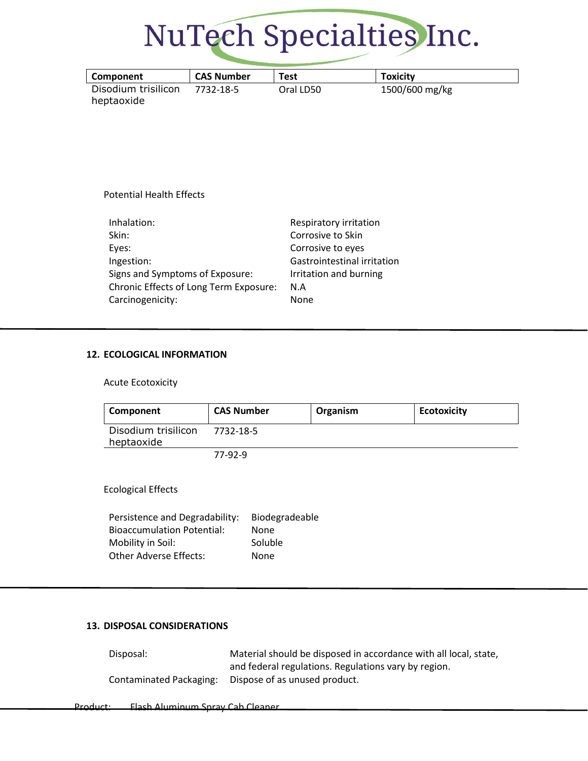

| Component                         | <b>CAS Number</b> | Test      | <b>Toxicity</b> |
|-----------------------------------|-------------------|-----------|-----------------|
| Disodium trisilicon<br>heptaoxide | 7732-18-5         | Oral LD50 | 1500/600 mg/kg  |

## Potential Health Effects

| Inhalation:                            | Respiratory irritation      |
|----------------------------------------|-----------------------------|
| Skin:                                  | Corrosive to Skin           |
| Eyes:                                  | Corrosive to eyes           |
| Ingestion:                             | Gastrointestinal irritation |
| Signs and Symptoms of Exposure:        | Irritation and burning      |
| Chronic Effects of Long Term Exposure: | N.A                         |
| Carcinogenicity:                       | <b>None</b>                 |

#### **12. ECOLOGICAL INFORMATION**

Acute Ecotoxicity

| Component                         | <b>CAS Number</b> | Organism | <b>Ecotoxicity</b> |
|-----------------------------------|-------------------|----------|--------------------|
| Disodium trisilicon<br>heptaoxide | 7732-18-5         |          |                    |
|                                   | 77-92-9           |          |                    |
| <b>Ecological Effects</b>         |                   |          |                    |

| Persistence and Degradability:    | Biodegradeable |
|-----------------------------------|----------------|
| <b>Bioaccumulation Potential:</b> | None           |
| Mobility in Soil:                 | Soluble        |
| <b>Other Adverse Effects:</b>     | None           |

## **13. DISPOSAL CONSIDERATIONS**

| Disposal:               | Material should be disposed in accordance with all local, state, |
|-------------------------|------------------------------------------------------------------|
|                         | and federal regulations. Regulations vary by region.             |
| Contaminated Packaging: | Dispose of as unused product.                                    |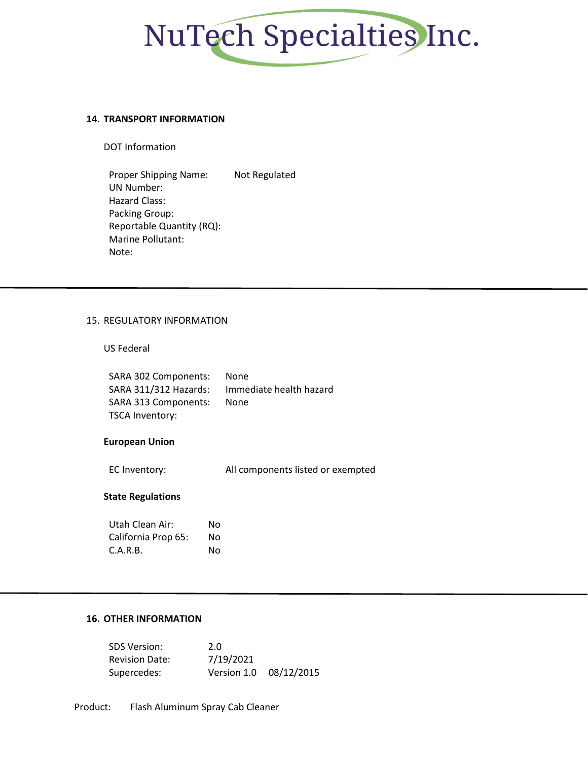

#### **14. TRANSPORT INFORMATION**

DOT Information

Proper Shipping Name: Not Regulated UN Number: Hazard Class: Packing Group: Reportable Quantity (RQ): Marine Pollutant: Note:

#### 15. REGULATORY INFORMATION

## US Federal

| SARA 302 Components:  | <b>None</b>             |
|-----------------------|-------------------------|
| SARA 311/312 Hazards: | Immediate health hazard |
| SARA 313 Components:  | <b>None</b>             |
| TSCA Inventory:       |                         |

#### **European Union**

| EC Inventory: | All components listed or exempted |
|---------------|-----------------------------------|
|---------------|-----------------------------------|

#### **State Regulations**

| Utah Clean Air:     | Nο |
|---------------------|----|
| California Prop 65: | Nο |
| C.A.R.B.            | Nο |

## **16. OTHER INFORMATION**

| <b>SDS Version:</b>   | 2.0       |                        |
|-----------------------|-----------|------------------------|
| <b>Revision Date:</b> | 7/19/2021 |                        |
| Supercedes:           |           | Version 1.0 08/12/2015 |